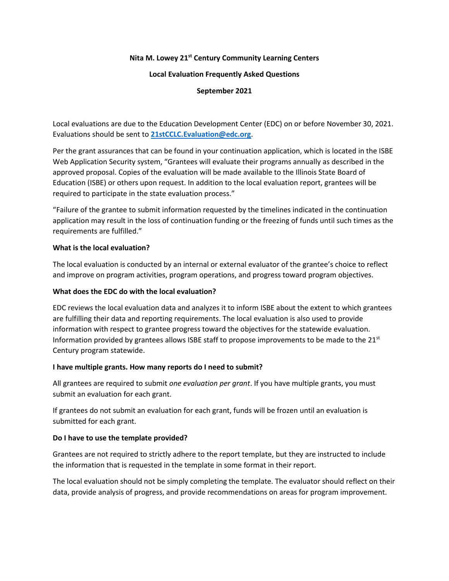# **Nita M. Lowey 21st Century Community Learning Centers**

#### **Local Evaluation Frequently Asked Questions**

# **September 2021**

Local evaluations are due to the Education Development Center (EDC) on or before November 30, 2021. Evaluations should be sent to **[21stCCLC.Evaluation@edc.org](mailto:21stCCLC.Evaluation@edc.org)**.

Per the grant assurances that can be found in your continuation application, which is located in the ISBE Web Application Security system, "Grantees will evaluate their programs annually as described in the approved proposal. Copies of the evaluation will be made available to the Illinois State Board of Education (ISBE) or others upon request. In addition to the local evaluation report, grantees will be required to participate in the state evaluation process."

"Failure of the grantee to submit information requested by the timelines indicated in the continuation application may result in the loss of continuation funding or the freezing of funds until such times as the requirements are fulfilled."

# **What is the local evaluation?**

The local evaluation is conducted by an internal or external evaluator of the grantee's choice to reflect and improve on program activities, program operations, and progress toward program objectives.

### **What does the EDC do with the local evaluation?**

EDC reviews the local evaluation data and analyzes it to inform ISBE about the extent to which grantees are fulfilling their data and reporting requirements. The local evaluation is also used to provide information with respect to grantee progress toward the objectives for the statewide evaluation. Information provided by grantees allows ISBE staff to propose improvements to be made to the  $21<sup>st</sup>$ Century program statewide.

# **I have multiple grants. How many reports do I need to submit?**

All grantees are required to submit *one evaluation per grant*. If you have multiple grants, you must submit an evaluation for each grant.

If grantees do not submit an evaluation for each grant, funds will be frozen until an evaluation is submitted for each grant.

# **Do I have to use the template provided?**

Grantees are not required to strictly adhere to the report template, but they are instructed to include the information that is requested in the template in some format in their report.

The local evaluation should not be simply completing the template. The evaluator should reflect on their data, provide analysis of progress, and provide recommendations on areas for program improvement.